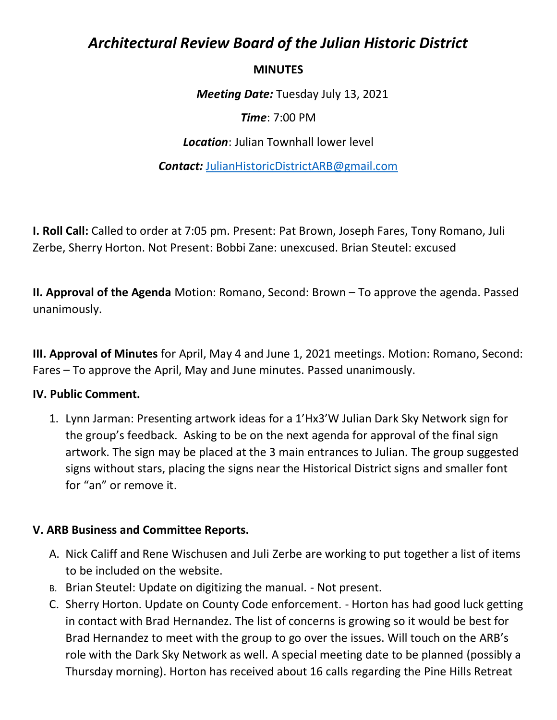# *Architectural Review Board of the Julian Historic District*

#### **MINUTES**

*Meeting Date:* Tuesday July 13, 2021

*Time*: 7:00 PM

*Location*: Julian Townhall lower level

*Contact:* [JulianHistoricDistrictARB@gmail.com](mailto:JulianHistoricDistrictARB@gmail.com)

**I. Roll Call:** Called to order at 7:05 pm. Present: Pat Brown, Joseph Fares, Tony Romano, Juli Zerbe, Sherry Horton. Not Present: Bobbi Zane: unexcused. Brian Steutel: excused

**II. Approval of the Agenda** Motion: Romano, Second: Brown – To approve the agenda. Passed unanimously.

**III. Approval of Minutes** for April, May 4 and June 1, 2021 meetings. Motion: Romano, Second: Fares – To approve the April, May and June minutes. Passed unanimously.

### **IV. Public Comment.**

1. Lynn Jarman: Presenting artwork ideas for a 1'Hx3'W Julian Dark Sky Network sign for the group's feedback. Asking to be on the next agenda for approval of the final sign artwork. The sign may be placed at the 3 main entrances to Julian. The group suggested signs without stars, placing the signs near the Historical District signs and smaller font for "an" or remove it.

### **V. ARB Business and Committee Reports.**

- A. Nick Califf and Rene Wischusen and Juli Zerbe are working to put together a list of items to be included on the website.
- B. Brian Steutel: Update on digitizing the manual. Not present.
- C. Sherry Horton. Update on County Code enforcement. Horton has had good luck getting in contact with Brad Hernandez. The list of concerns is growing so it would be best for Brad Hernandez to meet with the group to go over the issues. Will touch on the ARB's role with the Dark Sky Network as well. A special meeting date to be planned (possibly a Thursday morning). Horton has received about 16 calls regarding the Pine Hills Retreat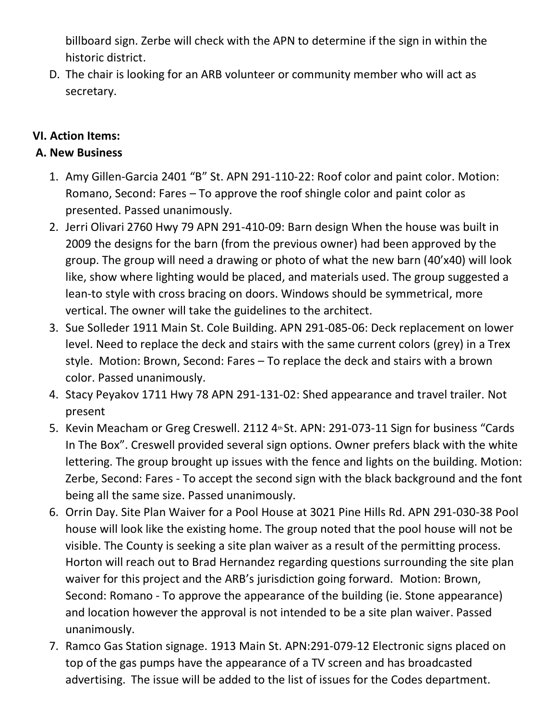billboard sign. Zerbe will check with the APN to determine if the sign in within the historic district.

D. The chair is looking for an ARB volunteer or community member who will act as secretary.

# **VI. Action Items:**

## **A. New Business**

- 1. Amy Gillen-Garcia 2401 "B" St. APN 291-110-22: Roof color and paint color. Motion: Romano, Second: Fares – To approve the roof shingle color and paint color as presented. Passed unanimously.
- 2. Jerri Olivari 2760 Hwy 79 APN 291-410-09: Barn design When the house was built in 2009 the designs for the barn (from the previous owner) had been approved by the group. The group will need a drawing or photo of what the new barn (40'x40) will look like, show where lighting would be placed, and materials used. The group suggested a lean-to style with cross bracing on doors. Windows should be symmetrical, more vertical. The owner will take the guidelines to the architect.
- 3. Sue Solleder 1911 Main St. Cole Building. APN 291-085-06: Deck replacement on lower level. Need to replace the deck and stairs with the same current colors (grey) in a Trex style. Motion: Brown, Second: Fares – To replace the deck and stairs with a brown color. Passed unanimously.
- 4. Stacy Peyakov 1711 Hwy 78 APN 291-131-02: Shed appearance and travel trailer. Not present
- 5. Kevin Meacham or Greg Creswell. 2112 4<sup>th</sup> St. APN: 291-073-11 Sign for business "Cards In The Box". Creswell provided several sign options. Owner prefers black with the white lettering. The group brought up issues with the fence and lights on the building. Motion: Zerbe, Second: Fares - To accept the second sign with the black background and the font being all the same size. Passed unanimously.
- 6. Orrin Day. Site Plan Waiver for a Pool House at 3021 Pine Hills Rd. APN 291-030-38 Pool house will look like the existing home. The group noted that the pool house will not be visible. The County is seeking a site plan waiver as a result of the permitting process. Horton will reach out to Brad Hernandez regarding questions surrounding the site plan waiver for this project and the ARB's jurisdiction going forward. Motion: Brown, Second: Romano - To approve the appearance of the building (ie. Stone appearance) and location however the approval is not intended to be a site plan waiver. Passed unanimously.
- 7. Ramco Gas Station signage. 1913 Main St. APN:291-079-12 Electronic signs placed on top of the gas pumps have the appearance of a TV screen and has broadcasted advertising. The issue will be added to the list of issues for the Codes department.